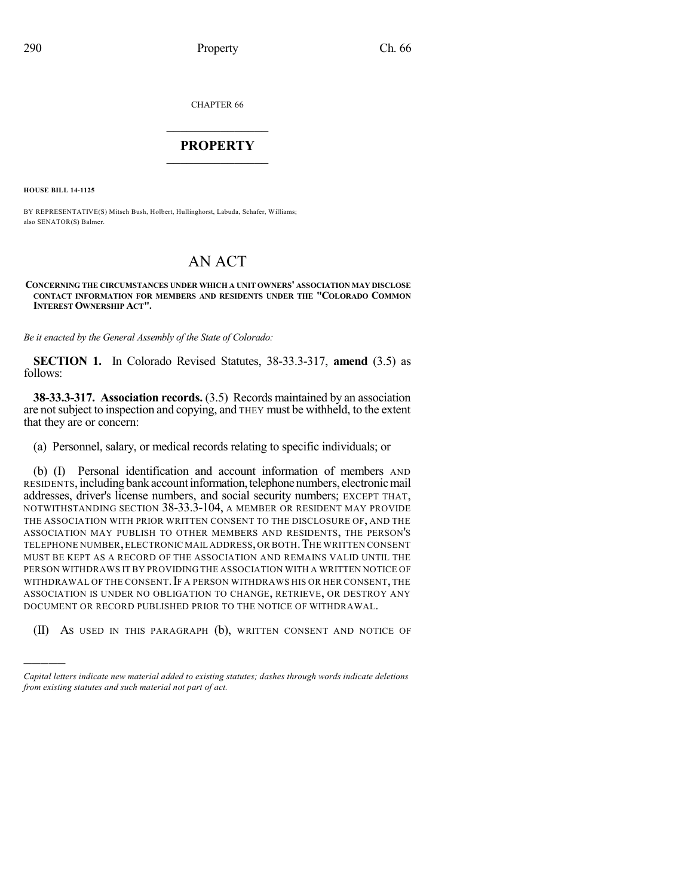CHAPTER 66

## $\mathcal{L}_\text{max}$  . The set of the set of the set of the set of the set of the set of the set of the set of the set of the set of the set of the set of the set of the set of the set of the set of the set of the set of the set **PROPERTY**  $\_$   $\_$   $\_$   $\_$   $\_$   $\_$   $\_$   $\_$   $\_$

**HOUSE BILL 14-1125**

)))))

BY REPRESENTATIVE(S) Mitsch Bush, Holbert, Hullinghorst, Labuda, Schafer, Williams; also SENATOR(S) Balmer.

## AN ACT

## **CONCERNING THE CIRCUMSTANCES UNDER WHICH A UNIT OWNERS' ASSOCIATION MAY DISCLOSE CONTACT INFORMATION FOR MEMBERS AND RESIDENTS UNDER THE "COLORADO COMMON INTEREST OWNERSHIP ACT".**

*Be it enacted by the General Assembly of the State of Colorado:*

**SECTION 1.** In Colorado Revised Statutes, 38-33.3-317, **amend** (3.5) as follows:

**38-33.3-317. Association records.** (3.5) Records maintained by an association are notsubject to inspection and copying, and THEY must be withheld, to the extent that they are or concern:

(a) Personnel, salary, or medical records relating to specific individuals; or

(b) (I) Personal identification and account information of members AND RESIDENTS,includingbankaccountinformation,telephonenumbers, electronicmail addresses, driver's license numbers, and social security numbers; EXCEPT THAT, NOTWITHSTANDING SECTION 38-33.3-104, A MEMBER OR RESIDENT MAY PROVIDE THE ASSOCIATION WITH PRIOR WRITTEN CONSENT TO THE DISCLOSURE OF, AND THE ASSOCIATION MAY PUBLISH TO OTHER MEMBERS AND RESIDENTS, THE PERSON'S TELEPHONE NUMBER,ELECTRONIC MAIL ADDRESS,OR BOTH.THE WRITTEN CONSENT MUST BE KEPT AS A RECORD OF THE ASSOCIATION AND REMAINS VALID UNTIL THE PERSON WITHDRAWS IT BY PROVIDING THE ASSOCIATION WITH A WRITTEN NOTICE OF WITHDRAWAL OF THE CONSENT. IF A PERSON WITHDRAWS HIS OR HER CONSENT, THE ASSOCIATION IS UNDER NO OBLIGATION TO CHANGE, RETRIEVE, OR DESTROY ANY DOCUMENT OR RECORD PUBLISHED PRIOR TO THE NOTICE OF WITHDRAWAL.

(II) AS USED IN THIS PARAGRAPH (b), WRITTEN CONSENT AND NOTICE OF

*Capital letters indicate new material added to existing statutes; dashes through words indicate deletions from existing statutes and such material not part of act.*